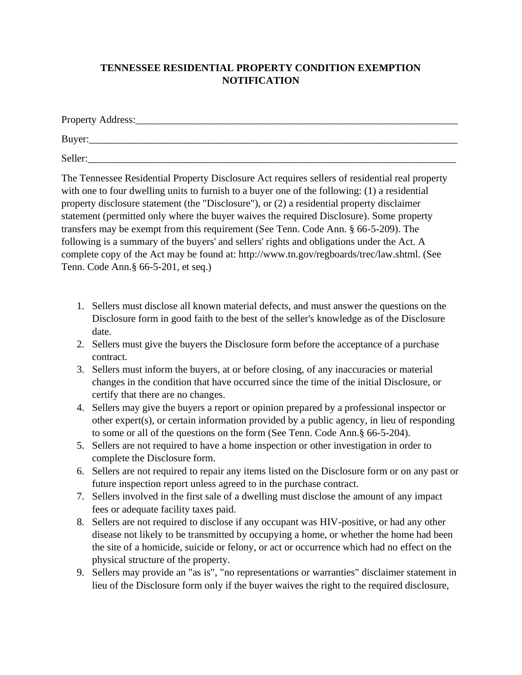## **TENNESSEE RESIDENTIAL PROPERTY CONDITION EXEMPTION NOTIFICATION**

| Property Address: |  |  |
|-------------------|--|--|
| Buyer:            |  |  |
| Seller:           |  |  |

The Tennessee Residential Property Disclosure Act requires sellers of residential real property with one to four dwelling units to furnish to a buyer one of the following: (1) a residential property disclosure statement (the "Disclosure"), or (2) a residential property disclaimer statement (permitted only where the buyer waives the required Disclosure). Some property transfers may be exempt from this requirement (See Tenn. Code Ann. § 66-5-209). The following is a summary of the buyers' and sellers' rights and obligations under the Act. A complete copy of the Act may be found at: http://www.tn.gov/regboards/trec/law.shtml. (See Tenn. Code Ann.§ 66-5-201, et seq.)

- 1. Sellers must disclose all known material defects, and must answer the questions on the Disclosure form in good faith to the best of the seller's knowledge as of the Disclosure date.
- 2. Sellers must give the buyers the Disclosure form before the acceptance of a purchase contract.
- 3. Sellers must inform the buyers, at or before closing, of any inaccuracies or material changes in the condition that have occurred since the time of the initial Disclosure, or certify that there are no changes.
- 4. Sellers may give the buyers a report or opinion prepared by a professional inspector or other expert(s), or certain information provided by a public agency, in lieu of responding to some or all of the questions on the form (See Tenn. Code Ann.§ 66-5-204).
- 5. Sellers are not required to have a home inspection or other investigation in order to complete the Disclosure form.
- 6. Sellers are not required to repair any items listed on the Disclosure form or on any past or future inspection report unless agreed to in the purchase contract.
- 7. Sellers involved in the first sale of a dwelling must disclose the amount of any impact fees or adequate facility taxes paid.
- 8. Sellers are not required to disclose if any occupant was HIV-positive, or had any other disease not likely to be transmitted by occupying a home, or whether the home had been the site of a homicide, suicide or felony, or act or occurrence which had no effect on the physical structure of the property.
- 9. Sellers may provide an "as is", "no representations or warranties" disclaimer statement in lieu of the Disclosure form only if the buyer waives the right to the required disclosure,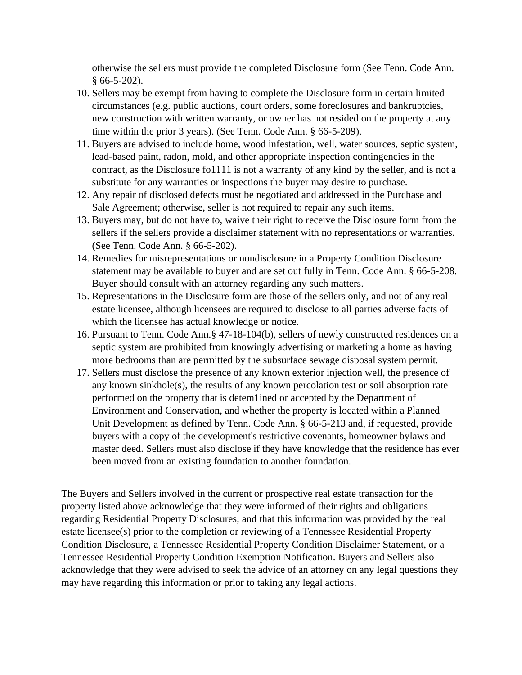otherwise the sellers must provide the completed Disclosure form (See Tenn. Code Ann.  $$66-5-202$ ).

- 10. Sellers may be exempt from having to complete the Disclosure form in certain limited circumstances (e.g. public auctions, court orders, some foreclosures and bankruptcies, new construction with written warranty, or owner has not resided on the property at any time within the prior 3 years). (See Tenn. Code Ann. § 66-5-209).
- 11. Buyers are advised to include home, wood infestation, well, water sources, septic system, lead-based paint, radon, mold, and other appropriate inspection contingencies in the contract, as the Disclosure fo1111 is not a warranty of any kind by the seller, and is not a substitute for any warranties or inspections the buyer may desire to purchase.
- 12. Any repair of disclosed defects must be negotiated and addressed in the Purchase and Sale Agreement; otherwise, seller is not required to repair any such items.
- 13. Buyers may, but do not have to, waive their right to receive the Disclosure form from the sellers if the sellers provide a disclaimer statement with no representations or warranties. (See Tenn. Code Ann. § 66-5-202).
- 14. Remedies for misrepresentations or nondisclosure in a Property Condition Disclosure statement may be available to buyer and are set out fully in Tenn. Code Ann. § 66-5-208. Buyer should consult with an attorney regarding any such matters.
- 15. Representations in the Disclosure form are those of the sellers only, and not of any real estate licensee, although licensees are required to disclose to all parties adverse facts of which the licensee has actual knowledge or notice.
- 16. Pursuant to Tenn. Code Ann.§ 47-18-104(b), sellers of newly constructed residences on a septic system are prohibited from knowingly advertising or marketing a home as having more bedrooms than are permitted by the subsurface sewage disposal system permit.
- 17. Sellers must disclose the presence of any known exterior injection well, the presence of any known sinkhole(s), the results of any known percolation test or soil absorption rate performed on the property that is detem1ined or accepted by the Department of Environment and Conservation, and whether the property is located within a Planned Unit Development as defined by Tenn. Code Ann. § 66-5-213 and, if requested, provide buyers with a copy of the development's restrictive covenants, homeowner bylaws and master deed. Sellers must also disclose if they have knowledge that the residence has ever been moved from an existing foundation to another foundation.

The Buyers and Sellers involved in the current or prospective real estate transaction for the property listed above acknowledge that they were informed of their rights and obligations regarding Residential Property Disclosures, and that this information was provided by the real estate licensee(s) prior to the completion or reviewing of a Tennessee Residential Property Condition Disclosure, a Tennessee Residential Property Condition Disclaimer Statement, or a Tennessee Residential Property Condition Exemption Notification. Buyers and Sellers also acknowledge that they were advised to seek the advice of an attorney on any legal questions they may have regarding this information or prior to taking any legal actions.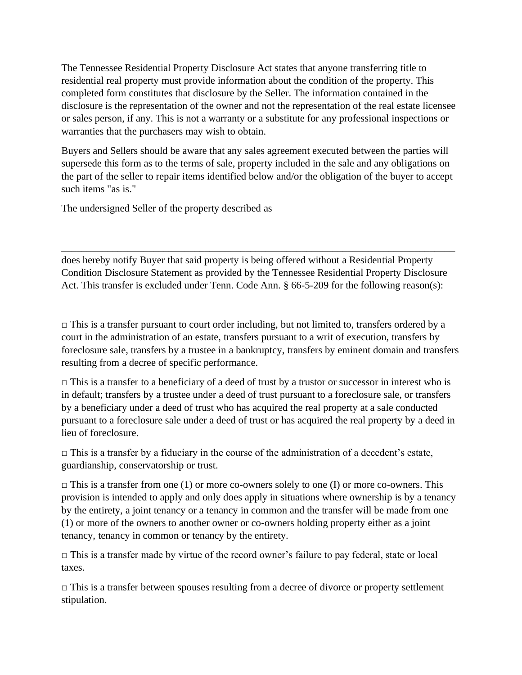The Tennessee Residential Property Disclosure Act states that anyone transferring title to residential real property must provide information about the condition of the property. This completed form constitutes that disclosure by the Seller. The information contained in the disclosure is the representation of the owner and not the representation of the real estate licensee or sales person, if any. This is not a warranty or a substitute for any professional inspections or warranties that the purchasers may wish to obtain.

Buyers and Sellers should be aware that any sales agreement executed between the parties will supersede this form as to the terms of sale, property included in the sale and any obligations on the part of the seller to repair items identified below and/or the obligation of the buyer to accept such items "as is."

The undersigned Seller of the property described as

does hereby notify Buyer that said property is being offered without a Residential Property Condition Disclosure Statement as provided by the Tennessee Residential Property Disclosure Act. This transfer is excluded under Tenn. Code Ann. § 66-5-209 for the following reason(s):

\_\_\_\_\_\_\_\_\_\_\_\_\_\_\_\_\_\_\_\_\_\_\_\_\_\_\_\_\_\_\_\_\_\_\_\_\_\_\_\_\_\_\_\_\_\_\_\_\_\_\_\_\_\_\_\_\_\_\_\_\_\_\_\_\_\_\_\_\_\_\_\_\_\_\_\_\_

 $\Box$  This is a transfer pursuant to court order including, but not limited to, transfers ordered by a court in the administration of an estate, transfers pursuant to a writ of execution, transfers by foreclosure sale, transfers by a trustee in a bankruptcy, transfers by eminent domain and transfers resulting from a decree of specific performance.

 $\Box$  This is a transfer to a beneficiary of a deed of trust by a trustor or successor in interest who is in default; transfers by a trustee under a deed of trust pursuant to a foreclosure sale, or transfers by a beneficiary under a deed of trust who has acquired the real property at a sale conducted pursuant to a foreclosure sale under a deed of trust or has acquired the real property by a deed in lieu of foreclosure.

 $\Box$  This is a transfer by a fiduciary in the course of the administration of a decedent's estate, guardianship, conservatorship or trust.

 $\Box$  This is a transfer from one (1) or more co-owners solely to one (I) or more co-owners. This provision is intended to apply and only does apply in situations where ownership is by a tenancy by the entirety, a joint tenancy or a tenancy in common and the transfer will be made from one (1) or more of the owners to another owner or co-owners holding property either as a joint tenancy, tenancy in common or tenancy by the entirety.

 $\Box$  This is a transfer made by virtue of the record owner's failure to pay federal, state or local taxes.

 $\Box$  This is a transfer between spouses resulting from a decree of divorce or property settlement stipulation.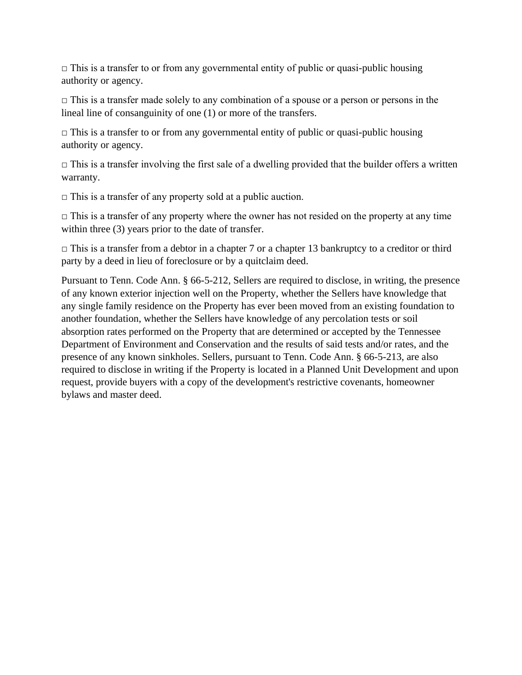$\Box$  This is a transfer to or from any governmental entity of public or quasi-public housing authority or agency.

 $\Box$  This is a transfer made solely to any combination of a spouse or a person or persons in the lineal line of consanguinity of one (1) or more of the transfers.

 $\Box$  This is a transfer to or from any governmental entity of public or quasi-public housing authority or agency.

 $\Box$  This is a transfer involving the first sale of a dwelling provided that the builder offers a written warranty.

 $\Box$  This is a transfer of any property sold at a public auction.

 $\Box$  This is a transfer of any property where the owner has not resided on the property at any time within three (3) years prior to the date of transfer.

 $\Box$  This is a transfer from a debtor in a chapter 7 or a chapter 13 bankruptcy to a creditor or third party by a deed in lieu of foreclosure or by a quitclaim deed.

Pursuant to Tenn. Code Ann. § 66-5-212, Sellers are required to disclose, in writing, the presence of any known exterior injection well on the Property, whether the Sellers have knowledge that any single family residence on the Property has ever been moved from an existing foundation to another foundation, whether the Sellers have knowledge of any percolation tests or soil absorption rates performed on the Property that are determined or accepted by the Tennessee Department of Environment and Conservation and the results of said tests and/or rates, and the presence of any known sinkholes. Sellers, pursuant to Tenn. Code Ann. § 66-5-213, are also required to disclose in writing if the Property is located in a Planned Unit Development and upon request, provide buyers with a copy of the development's restrictive covenants, homeowner bylaws and master deed.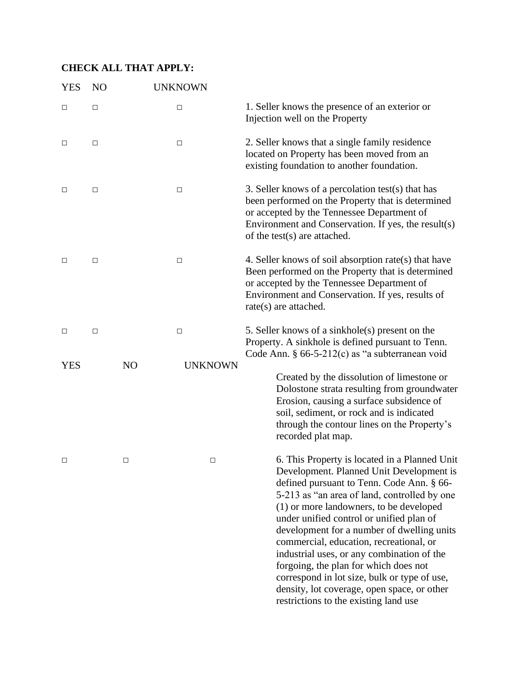## **CHECK ALL THAT APPLY:**

| <b>YES</b> | N <sub>O</sub> | <b>UNKNOWN</b>       |                                                                                                                                                                                                                                                                                                                                                                                                                                                                                                                                                                                                       |
|------------|----------------|----------------------|-------------------------------------------------------------------------------------------------------------------------------------------------------------------------------------------------------------------------------------------------------------------------------------------------------------------------------------------------------------------------------------------------------------------------------------------------------------------------------------------------------------------------------------------------------------------------------------------------------|
| $\Box$     | $\Box$         | □                    | 1. Seller knows the presence of an exterior or<br>Injection well on the Property                                                                                                                                                                                                                                                                                                                                                                                                                                                                                                                      |
| $\Box$     | □              | $\Box$               | 2. Seller knows that a single family residence<br>located on Property has been moved from an<br>existing foundation to another foundation.                                                                                                                                                                                                                                                                                                                                                                                                                                                            |
| $\Box$     | $\Box$         | $\Box$               | 3. Seller knows of a percolation test(s) that has<br>been performed on the Property that is determined<br>or accepted by the Tennessee Department of<br>Environment and Conservation. If yes, the result(s)<br>of the test(s) are attached.                                                                                                                                                                                                                                                                                                                                                           |
| $\Box$     | $\Box$         | $\Box$               | 4. Seller knows of soil absorption rate(s) that have<br>Been performed on the Property that is determined<br>or accepted by the Tennessee Department of<br>Environment and Conservation. If yes, results of<br>rate(s) are attached.                                                                                                                                                                                                                                                                                                                                                                  |
| $\Box$     | $\Box$         | $\Box$               | 5. Seller knows of a sinkhole(s) present on the<br>Property. A sinkhole is defined pursuant to Tenn.<br>Code Ann. § 66-5-212(c) as "a subterranean void                                                                                                                                                                                                                                                                                                                                                                                                                                               |
| <b>YES</b> |                | NO<br><b>UNKNOWN</b> | Created by the dissolution of limestone or<br>Dolostone strata resulting from groundwater<br>Erosion, causing a surface subsidence of<br>soil, sediment, or rock and is indicated<br>through the contour lines on the Property's<br>recorded plat map.                                                                                                                                                                                                                                                                                                                                                |
| □          |                | □<br>□               | 6. This Property is located in a Planned Unit<br>Development. Planned Unit Development is<br>defined pursuant to Tenn. Code Ann. § 66-<br>5-213 as "an area of land, controlled by one<br>(1) or more landowners, to be developed<br>under unified control or unified plan of<br>development for a number of dwelling units<br>commercial, education, recreational, or<br>industrial uses, or any combination of the<br>forgoing, the plan for which does not<br>correspond in lot size, bulk or type of use,<br>density, lot coverage, open space, or other<br>restrictions to the existing land use |